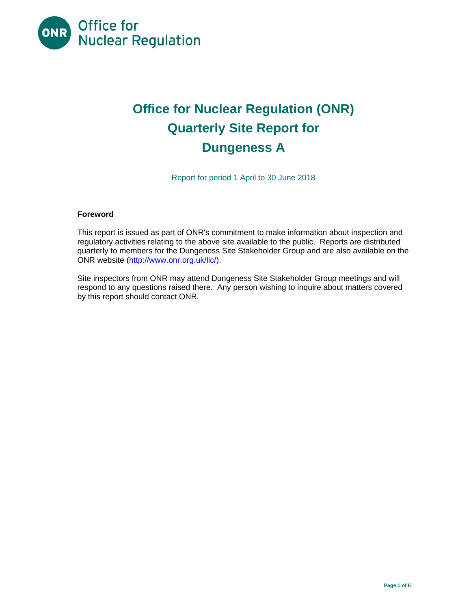

# **Office for Nuclear Regulation (ONR) Quarterly Site Report for Dungeness A**

Report for period 1 April to 30 June 2018

## **Foreword**

This report is issued as part of ONR's commitment to make information about inspection and regulatory activities relating to the above site available to the public. Reports are distributed quarterly to members for the Dungeness Site Stakeholder Group and are also available on the ONR website (http://www.onr.org.uk/llc/).

Site inspectors from ONR may attend Dungeness Site Stakeholder Group meetings and will respond to any questions raised there. Any person wishing to inquire about matters covered by this report should contact ONR.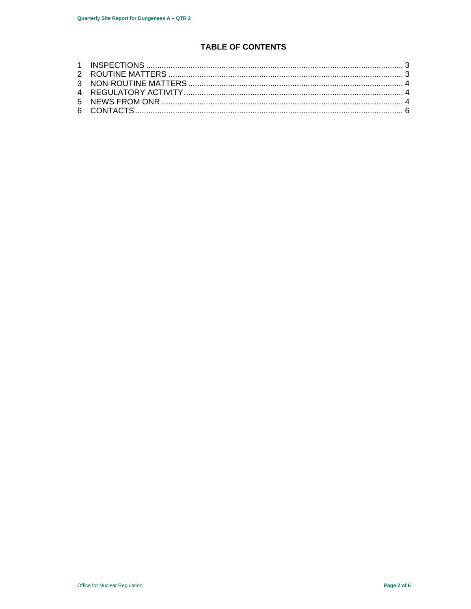## **TABLE OF CONTENTS**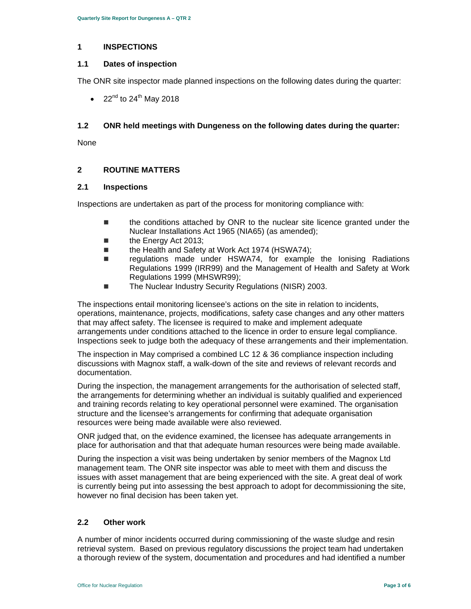## **1 INSPECTIONS**

## **1.1 Dates of inspection**

The ONR site inspector made planned inspections on the following dates during the quarter:

• 22 $^{nd}$  to 24 $^{th}$  May 2018

## **1.2 ONR held meetings with Dungeness on the following dates during the quarter:**

None

## **2 ROUTINE MATTERS**

## **2.1 Inspections**

Inspections are undertaken as part of the process for monitoring compliance with:

- the conditions attached by ONR to the nuclear site licence granted under the Nuclear Installations Act 1965 (NIA65) (as amended);
- **the Energy Act 2013;**
- the Health and Safety at Work Act 1974 (HSWA74);
- regulations made under HSWA74, for example the Ionising Radiations Regulations 1999 (IRR99) and the Management of Health and Safety at Work Regulations 1999 (MHSWR99);
- The Nuclear Industry Security Regulations (NISR) 2003.

The inspections entail monitoring licensee's actions on the site in relation to incidents, operations, maintenance, projects, modifications, safety case changes and any other matters that may affect safety. The licensee is required to make and implement adequate arrangements under conditions attached to the licence in order to ensure legal compliance. Inspections seek to judge both the adequacy of these arrangements and their implementation.

The inspection in May comprised a combined LC 12 & 36 compliance inspection including discussions with Magnox staff, a walk-down of the site and reviews of relevant records and documentation.

During the inspection, the management arrangements for the authorisation of selected staff, the arrangements for determining whether an individual is suitably qualified and experienced and training records relating to key operational personnel were examined. The organisation structure and the licensee's arrangements for confirming that adequate organisation resources were being made available were also reviewed.

ONR judged that, on the evidence examined, the licensee has adequate arrangements in place for authorisation and that that adequate human resources were being made available.

During the inspection a visit was being undertaken by senior members of the Magnox Ltd management team. The ONR site inspector was able to meet with them and discuss the issues with asset management that are being experienced with the site. A great deal of work is currently being put into assessing the best approach to adopt for decommissioning the site, however no final decision has been taken yet.

## **2.2 Other work**

A number of minor incidents occurred during commissioning of the waste sludge and resin retrieval system. Based on previous regulatory discussions the project team had undertaken a thorough review of the system, documentation and procedures and had identified a number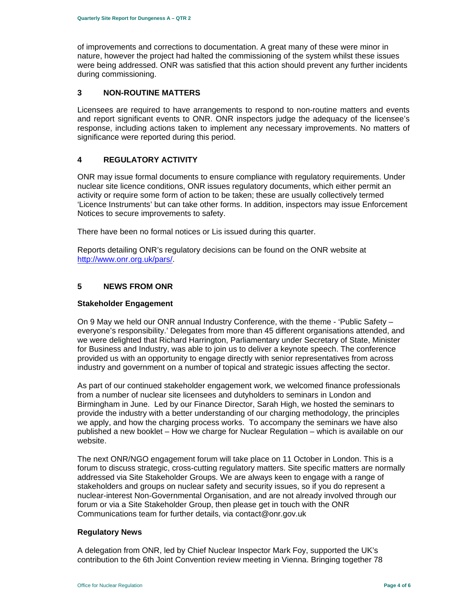of improvements and corrections to documentation. A great many of these were minor in nature, however the project had halted the commissioning of the system whilst these issues were being addressed. ONR was satisfied that this action should prevent any further incidents during commissioning.

## **3 NON-ROUTINE MATTERS**

Licensees are required to have arrangements to respond to non-routine matters and events and report significant events to ONR. ONR inspectors judge the adequacy of the licensee's response, including actions taken to implement any necessary improvements. No matters of significance were reported during this period.

## **4 REGULATORY ACTIVITY**

ONR may issue formal documents to ensure compliance with regulatory requirements. Under nuclear site licence conditions, ONR issues regulatory documents, which either permit an activity or require some form of action to be taken; these are usually collectively termed 'Licence Instruments' but can take other forms. In addition, inspectors may issue Enforcement Notices to secure improvements to safety.

There have been no formal notices or Lis issued during this quarter.

Reports detailing ONR's regulatory decisions can be found on the ONR website at http://www.onr.org.uk/pars/.

## **5 NEWS FROM ONR**

#### **Stakeholder Engagement**

On 9 May we held our ONR annual Industry Conference, with the theme - 'Public Safety – everyone's responsibility.' Delegates from more than 45 different organisations attended, and we were delighted that Richard Harrington, Parliamentary under Secretary of State, Minister for Business and Industry, was able to join us to deliver a keynote speech. The conference provided us with an opportunity to engage directly with senior representatives from across industry and government on a number of topical and strategic issues affecting the sector.

As part of our continued stakeholder engagement work, we welcomed finance professionals from a number of nuclear site licensees and dutyholders to seminars in London and Birmingham in June. Led by our Finance Director, Sarah High, we hosted the seminars to provide the industry with a better understanding of our charging methodology, the principles we apply, and how the charging process works. To accompany the seminars we have also published a new booklet – How we charge for Nuclear Regulation – which is available on our website.

The next ONR/NGO engagement forum will take place on 11 October in London. This is a forum to discuss strategic, cross-cutting regulatory matters. Site specific matters are normally addressed via Site Stakeholder Groups. We are always keen to engage with a range of stakeholders and groups on nuclear safety and security issues, so if you do represent a nuclear-interest Non-Governmental Organisation, and are not already involved through our forum or via a Site Stakeholder Group, then please get in touch with the ONR Communications team for further details, via contact@onr.gov.uk

#### **Regulatory News**

A delegation from ONR, led by Chief Nuclear Inspector Mark Foy, supported the UK's contribution to the 6th Joint Convention review meeting in Vienna. Bringing together 78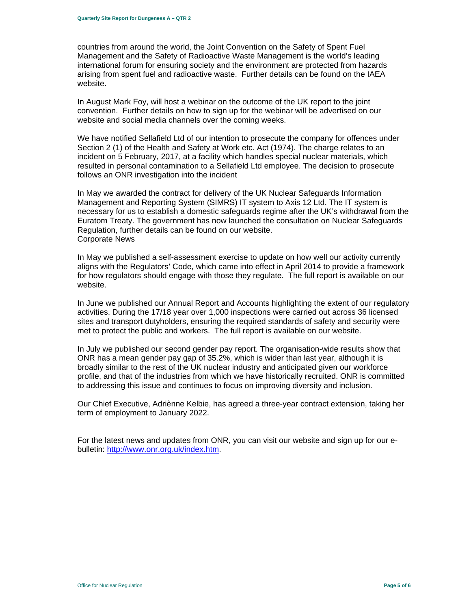countries from around the world, the Joint Convention on the Safety of Spent Fuel Management and the Safety of Radioactive Waste Management is the world's leading international forum for ensuring society and the environment are protected from hazards arising from spent fuel and radioactive waste. Further details can be found on the IAEA website.

In August Mark Foy, will host a webinar on the outcome of the UK report to the joint convention. Further details on how to sign up for the webinar will be advertised on our website and social media channels over the coming weeks.

We have notified Sellafield Ltd of our intention to prosecute the company for offences under Section 2 (1) of the Health and Safety at Work etc. Act (1974). The charge relates to an incident on 5 February, 2017, at a facility which handles special nuclear materials, which resulted in personal contamination to a Sellafield Ltd employee. The decision to prosecute follows an ONR investigation into the incident

In May we awarded the contract for delivery of the UK Nuclear Safeguards Information Management and Reporting System (SIMRS) IT system to Axis 12 Ltd. The IT system is necessary for us to establish a domestic safeguards regime after the UK's withdrawal from the Euratom Treaty. The government has now launched the consultation on Nuclear Safeguards Regulation, further details can be found on our website. Corporate News

In May we published a self-assessment exercise to update on how well our activity currently aligns with the Regulators' Code, which came into effect in April 2014 to provide a framework for how regulators should engage with those they regulate. The full report is available on our website.

In June we published our Annual Report and Accounts highlighting the extent of our regulatory activities. During the 17/18 year over 1,000 inspections were carried out across 36 licensed sites and transport dutyholders, ensuring the required standards of safety and security were met to protect the public and workers. The full report is available on our website.

In July we published our second gender pay report. The organisation-wide results show that ONR has a mean gender pay gap of 35.2%, which is wider than last year, although it is broadly similar to the rest of the UK nuclear industry and anticipated given our workforce profile, and that of the industries from which we have historically recruited. ONR is committed to addressing this issue and continues to focus on improving diversity and inclusion.

Our Chief Executive, Adriènne Kelbie, has agreed a three-year contract extension, taking her term of employment to January 2022.

For the latest news and updates from ONR, you can visit our website and sign up for our ebulletin: http://www.onr.org.uk/index.htm.